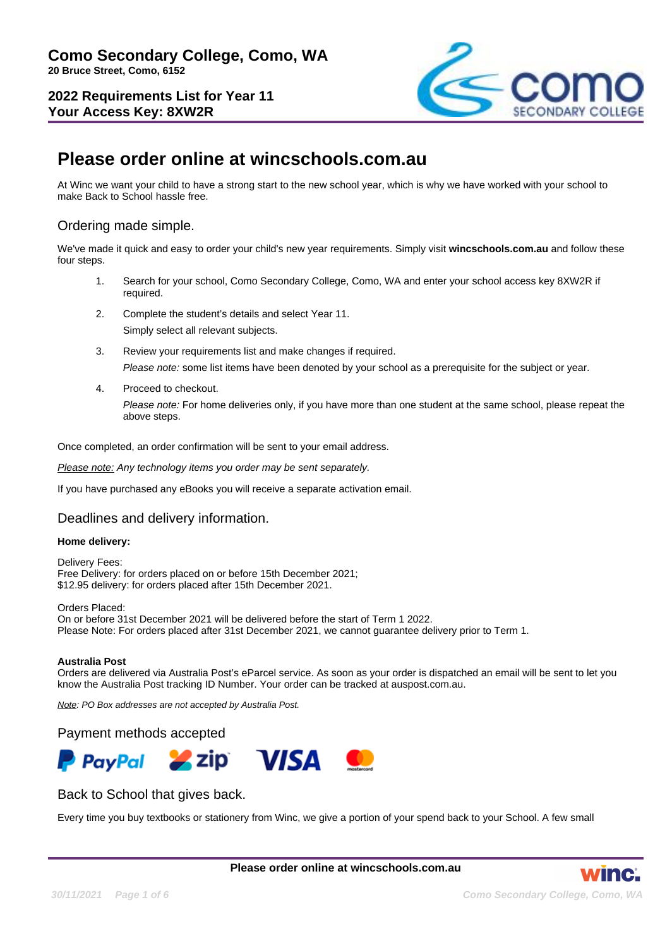**2022 Requirements List for Year 11 Your Access Key: 8XW2R**



# **Please order online at wincschools.com.au**

At Winc we want your child to have a strong start to the new school year, which is why we have worked with your school to make Back to School hassle free.

### Ordering made simple.

We've made it quick and easy to order your child's new year requirements. Simply visit **wincschools.com.au** and follow these four steps.

- 1. Search for your school, Como Secondary College, Como, WA and enter your school access key 8XW2R if required.
- 2. Complete the student's details and select Year 11. Simply select all relevant subjects.
- 3. Review your requirements list and make changes if required. Please note: some list items have been denoted by your school as a prerequisite for the subject or year.
- 4. Proceed to checkout.

Please note: For home deliveries only, if you have more than one student at the same school, please repeat the above steps.

Once completed, an order confirmation will be sent to your email address.

Please note: Any technology items you order may be sent separately.

If you have purchased any eBooks you will receive a separate activation email.

#### Deadlines and delivery information.

#### **Home delivery:**

Delivery Fees: Free Delivery: for orders placed on or before 15th December 2021; \$12.95 delivery: for orders placed after 15th December 2021.

Orders Placed: On or before 31st December 2021 will be delivered before the start of Term 1 2022. Please Note: For orders placed after 31st December 2021, we cannot guarantee delivery prior to Term 1.

#### **Australia Post**

Orders are delivered via Australia Post's eParcel service. As soon as your order is dispatched an email will be sent to let you know the Australia Post tracking ID Number. Your order can be tracked at auspost.com.au.

Note: PO Box addresses are not accepted by Australia Post.

#### Payment methods accepted



#### Back to School that gives back.

Every time you buy textbooks or stationery from Winc, we give a portion of your spend back to your School. A few small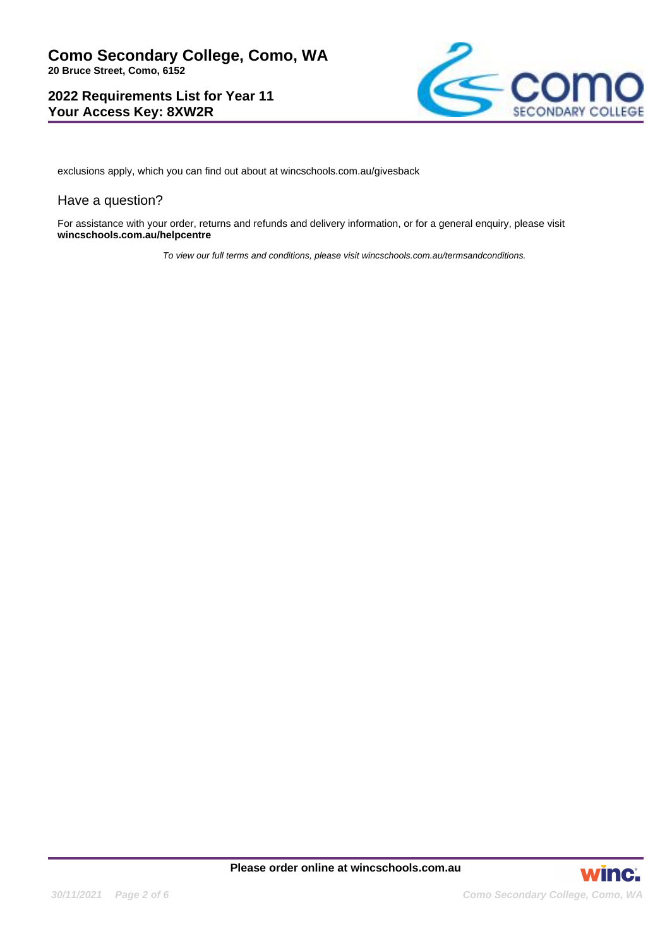### **2022 Requirements List for Year 11 Your Access Key: 8XW2R**



exclusions apply, which you can find out about at wincschools.com.au/givesback

#### Have a question?

For assistance with your order, returns and refunds and delivery information, or for a general enquiry, please visit **wincschools.com.au/helpcentre**

To view our full terms and conditions, please visit wincschools.com.au/termsandconditions.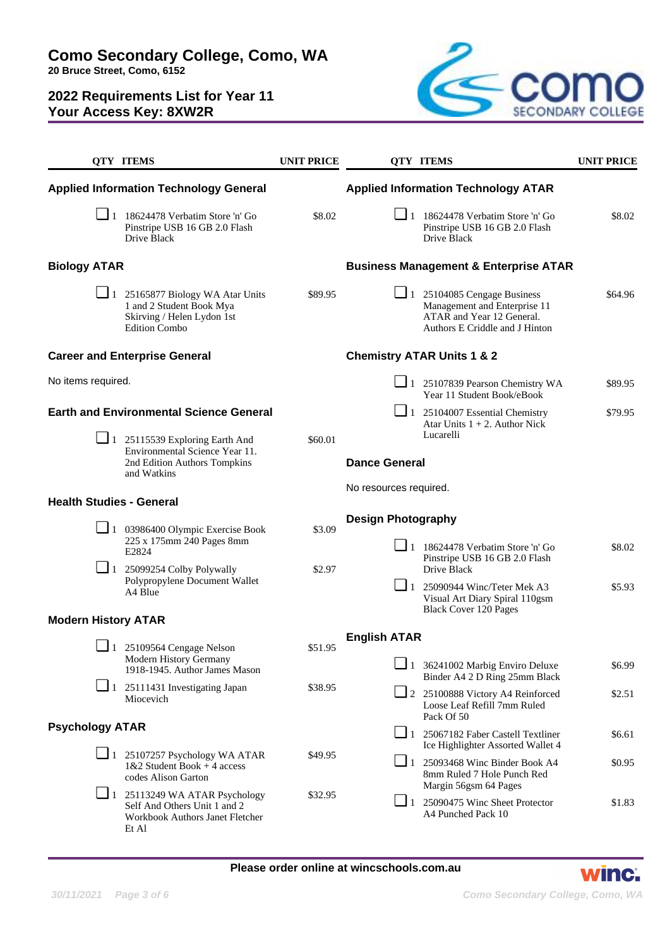**20 Bruce Street, Como, 6152**

# **2022 Requirements List for Year 11 Your Access Key: 8XW2R**



|                                                | <b>QTY ITEMS</b>                                                                                                                                                              | <b>UNIT PRICE</b> |                                       | <b>QTY ITEMS</b>                                                                                                                                 | <b>UNIT PRICE</b> |
|------------------------------------------------|-------------------------------------------------------------------------------------------------------------------------------------------------------------------------------|-------------------|---------------------------------------|--------------------------------------------------------------------------------------------------------------------------------------------------|-------------------|
|                                                | <b>Applied Information Technology General</b>                                                                                                                                 |                   |                                       | <b>Applied Information Technology ATAR</b>                                                                                                       |                   |
|                                                | $\boxed{\phantom{0}}$ 1 18624478 Verbatim Store 'n' Go<br>Pinstripe USB 16 GB 2.0 Flash<br>Drive Black                                                                        | \$8.02            |                                       | $\boxed{\phantom{0}}$ 1 18624478 Verbatim Store 'n' Go<br>Pinstripe USB 16 GB 2.0 Flash<br>Drive Black                                           | \$8.02            |
| <b>Biology ATAR</b>                            |                                                                                                                                                                               |                   |                                       | <b>Business Management &amp; Enterprise ATAR</b>                                                                                                 |                   |
|                                                | $\Box$ 1 25165877 Biology WA Atar Units<br>1 and 2 Student Book Mya<br>Skirving / Helen Lydon 1st<br><b>Edition Combo</b>                                                     | \$89.95           |                                       | $\Box$ 1 25104085 Cengage Business<br>Management and Enterprise 11<br>ATAR and Year 12 General.<br>Authors E Criddle and J Hinton                | \$64.96           |
| <b>Career and Enterprise General</b>           |                                                                                                                                                                               |                   | <b>Chemistry ATAR Units 1 &amp; 2</b> |                                                                                                                                                  |                   |
| No items required.                             |                                                                                                                                                                               |                   |                                       | $\Box$ 1 25107839 Pearson Chemistry WA<br>Year 11 Student Book/eBook                                                                             | \$89.95           |
| <b>Earth and Environmental Science General</b> | $\Box$ 1 25115539 Exploring Earth And                                                                                                                                         | \$60.01           |                                       | $\boxed{\phantom{0}}$ 1 25104007 Essential Chemistry<br>Atar Units $1 + 2$ . Author Nick<br>Lucarelli                                            | \$79.95           |
|                                                | Environmental Science Year 11.<br>2nd Edition Authors Tompkins<br>and Watkins                                                                                                 |                   | <b>Dance General</b>                  |                                                                                                                                                  |                   |
| <b>Health Studies - General</b>                |                                                                                                                                                                               |                   | No resources required.                |                                                                                                                                                  |                   |
|                                                |                                                                                                                                                                               |                   | <b>Design Photography</b>             |                                                                                                                                                  |                   |
|                                                | $\Box$ 1 03986400 Olympic Exercise Book<br>225 x 175mm 240 Pages 8mm<br>E2824<br>$\boxed{\phantom{0}}$ 1 25099254 Colby Polywally<br>Polypropylene Document Wallet<br>A4 Blue | \$3.09<br>\$2.97  |                                       |                                                                                                                                                  |                   |
|                                                |                                                                                                                                                                               |                   |                                       | $\boxed{\phantom{1}}$ 1 18624478 Verbatim Store 'n' Go<br>Pinstripe USB 16 GB 2.0 Flash<br>Drive Black                                           | \$8.02            |
|                                                |                                                                                                                                                                               |                   | $\Box$ 1                              | 25090944 Winc/Teter Mek A3<br>Visual Art Diary Spiral 110gsm                                                                                     | \$5.93            |
| <b>Modern History ATAR</b>                     |                                                                                                                                                                               |                   |                                       | <b>Black Cover 120 Pages</b>                                                                                                                     |                   |
|                                                |                                                                                                                                                                               |                   | <b>English ATAR</b>                   |                                                                                                                                                  |                   |
|                                                | $\Box$ 1 25109564 Cengage Nelson<br>Modern History Germany<br>1918-1945. Author James Mason                                                                                   | \$51.95           |                                       | $\Box$ 1 36241002 Marbig Enviro Deluxe<br>Binder A4 2 D Ring 25mm Black                                                                          | \$6.99            |
|                                                | $\Box$ 1 25111431 Investigating Japan<br>Miocevich                                                                                                                            | \$38.95           |                                       | 2 25100888 Victory A4 Reinforced<br>Loose Leaf Refill 7mm Ruled<br>Pack Of 50                                                                    | \$2.51            |
| <b>Psychology ATAR</b>                         |                                                                                                                                                                               |                   |                                       | 1 25067182 Faber Castell Textliner                                                                                                               | \$6.61            |
|                                                | $\Box$ 1 25107257 Psychology WA ATAR<br>$1&2$ Student Book + 4 access<br>codes Alison Garton                                                                                  | \$49.95           |                                       | Ice Highlighter Assorted Wallet 4<br>$\boxed{\phantom{0}}$ 1 25093468 Winc Binder Book A4<br>8mm Ruled 7 Hole Punch Red<br>Margin 56gsm 64 Pages | \$0.95            |
|                                                | $\Box$ 1 25113249 WA ATAR Psychology<br>Self And Others Unit 1 and 2<br>Workbook Authors Janet Fletcher<br>Et Al                                                              | \$32.95           | $\Box$ 1                              | 25090475 Winc Sheet Protector<br>A4 Punched Pack 10                                                                                              | \$1.83            |

winc.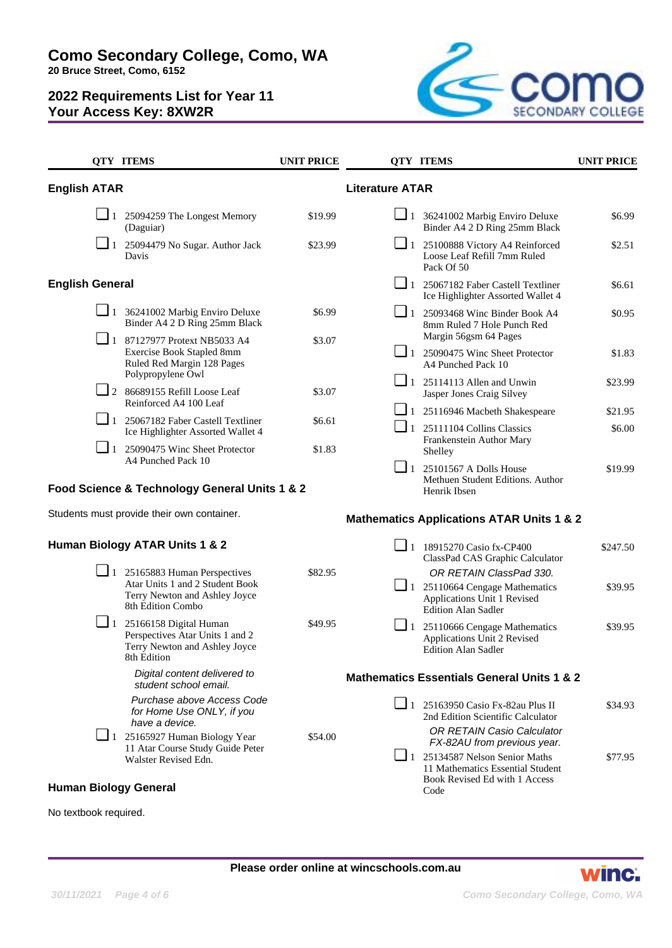**Como Secondary College, Como, WA**

**20 Bruce Street, Como, 6152**

## **2022 Requirements List for Year 11 Your Access Key: 8XW2R**



|                              | <b>QTY ITEMS</b>                                                                                                              | <b>UNIT PRICE</b> |                                                       | <b>QTY ITEMS</b>                                                                                                                             | <b>UNIT PRICE</b> |
|------------------------------|-------------------------------------------------------------------------------------------------------------------------------|-------------------|-------------------------------------------------------|----------------------------------------------------------------------------------------------------------------------------------------------|-------------------|
| <b>English ATAR</b>          |                                                                                                                               |                   | <b>Literature ATAR</b>                                |                                                                                                                                              |                   |
|                              | $\Box$ 1 25094259 The Longest Memory<br>(Daguiar)                                                                             | \$19.99           |                                                       | $\Box$ 1 36241002 Marbig Enviro Deluxe<br>Binder A4 2 D Ring 25mm Black                                                                      | \$6.99            |
| $\Box$ 1                     | 25094479 No Sugar. Author Jack<br>Davis                                                                                       | \$23.99           |                                                       | 1 25100888 Victory A4 Reinforced<br>Loose Leaf Refill 7mm Ruled<br>Pack Of 50                                                                | \$2.51            |
| <b>English General</b>       |                                                                                                                               |                   |                                                       | $\Box$ 1 25067182 Faber Castell Textliner<br>Ice Highlighter Assorted Wallet 4                                                               | \$6.61            |
|                              | $\Box$ 1 36241002 Marbig Enviro Deluxe<br>Binder A4 2 D Ring 25mm Black                                                       | \$6.99            | $\Box$ 1                                              | 25093468 Winc Binder Book A4<br>8mm Ruled 7 Hole Punch Red                                                                                   | \$0.95            |
| $\Box$ 1                     | 87127977 Protext NB5033 A4<br>Exercise Book Stapled 8mm<br>Ruled Red Margin 128 Pages<br>Polypropylene Owl                    | \$3.07            |                                                       | Margin 56gsm 64 Pages<br>1 25090475 Winc Sheet Protector<br>A4 Punched Pack 10                                                               | \$1.83            |
|                              | $\Box$ 2 86689155 Refill Loose Leaf<br>Reinforced A4 100 Leaf                                                                 | \$3.07            |                                                       | $\boxed{\phantom{0}}$ 1 25114113 Allen and Unwin<br>Jasper Jones Craig Silvey                                                                | \$23.99           |
|                              | 1 25067182 Faber Castell Textliner<br>Ice Highlighter Assorted Wallet 4                                                       | \$6.61            | $\Box$ 1                                              | $\boxed{\phantom{1}}$ 1 25116946 Macbeth Shakespeare<br>25111104 Collins Classics                                                            | \$21.95<br>\$6.00 |
| $\Box$ 1                     | 25090475 Winc Sheet Protector<br>A4 Punched Pack 10                                                                           | \$1.83            |                                                       | Frankenstein Author Mary<br>Shelley                                                                                                          |                   |
|                              | Food Science & Technology General Units 1 & 2                                                                                 |                   |                                                       | $\Box$ 1 25101567 A Dolls House<br>Methuen Student Editions. Author<br>Henrik Ibsen                                                          | \$19.99           |
|                              | Students must provide their own container.                                                                                    |                   |                                                       | <b>Mathematics Applications ATAR Units 1 &amp; 2</b>                                                                                         |                   |
|                              | Human Biology ATAR Units 1 & 2                                                                                                |                   |                                                       | 1 18915270 Casio fx-CP400<br>ClassPad CAS Graphic Calculator                                                                                 | \$247.50          |
|                              | $\Box$ 1 25165883 Human Perspectives<br>Atar Units 1 and 2 Student Book<br>Terry Newton and Ashley Joyce<br>8th Edition Combo | \$82.95           |                                                       | OR RETAIN ClassPad 330.<br>$\boxed{\phantom{1}}$ 1 25110664 Cengage Mathematics<br>Applications Unit 1 Revised<br><b>Edition Alan Sadler</b> | \$39.95           |
| $\Box$ 1                     | 25166158 Digital Human<br>Perspectives Atar Units 1 and 2<br>Terry Newton and Ashley Joyce<br>8th Edition                     | \$49.95           |                                                       | $\Box$ 1 25110666 Cengage Mathematics<br>Applications Unit 2 Revised<br><b>Edition Alan Sadler</b>                                           | \$39.95           |
|                              | Digital content delivered to<br>student school email.                                                                         |                   | <b>Mathematics Essentials General Units 1 &amp; 2</b> |                                                                                                                                              |                   |
|                              | Purchase above Access Code<br>for Home Use ONLY, if you<br>have a device.                                                     |                   |                                                       | $\Box$ 1 25163950 Casio Fx-82au Plus II<br>2nd Edition Scientific Calculator<br>OR RETAIN Casio Calculator                                   | \$34.93           |
|                              | $\Box$ 1 25165927 Human Biology Year<br>11 Atar Course Study Guide Peter<br>Walster Revised Edn.                              | \$54.00           |                                                       | FX-82AU from previous year.<br>$\boxed{\phantom{0}}$ 1 25134587 Nelson Senior Maths                                                          | \$77.95           |
| <b>Human Biology General</b> |                                                                                                                               |                   |                                                       | 11 Mathematics Essential Student<br>Book Revised Ed with 1 Access<br>Code                                                                    |                   |

No textbook required.

**Please order online at wincschools.com.au**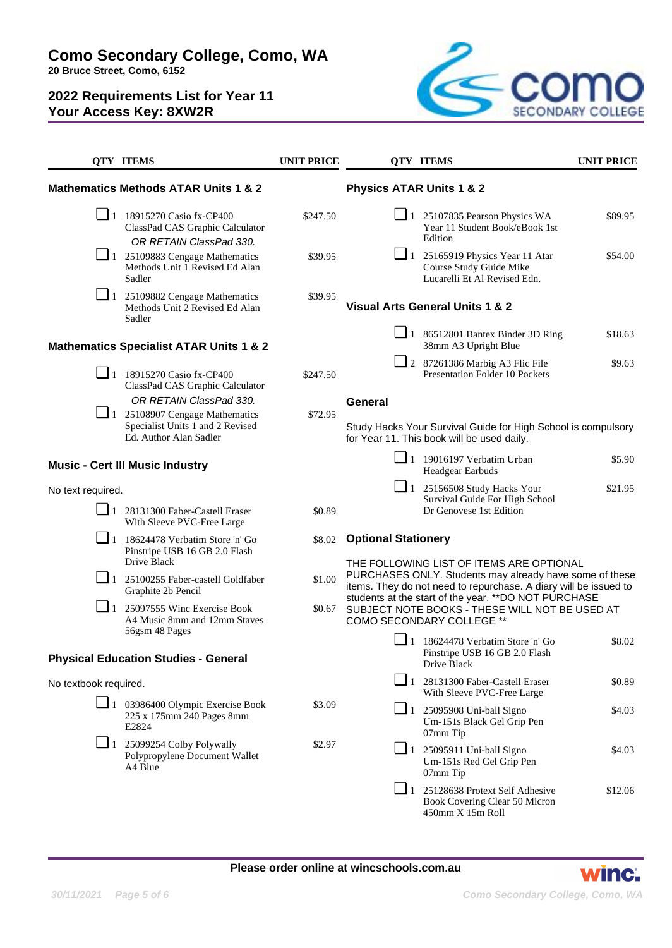# **Como Secondary College, Como, WA**

**20 Bruce Street, Como, 6152**

# **2022 Requirements List for Year 11 Your Access Key: 8XW2R**



|                                                               | <b>QTY ITEMS</b>                                                                                                   | <b>UNIT PRICE</b> | <b>QTY ITEMS</b>                                                                                                                                                                                      | <b>UNIT PRICE</b> |
|---------------------------------------------------------------|--------------------------------------------------------------------------------------------------------------------|-------------------|-------------------------------------------------------------------------------------------------------------------------------------------------------------------------------------------------------|-------------------|
|                                                               | <b>Mathematics Methods ATAR Units 1 &amp; 2</b>                                                                    |                   | <b>Physics ATAR Units 1 &amp; 2</b>                                                                                                                                                                   |                   |
|                                                               | $\Box$ 1 18915270 Casio fx-CP400<br>ClassPad CAS Graphic Calculator<br>OR RETAIN ClassPad 330.                     | \$247.50          | $\Box$ 1 25107835 Pearson Physics WA<br>Year 11 Student Book/eBook 1st<br>Edition                                                                                                                     | \$89.95           |
|                                                               | $\boxed{\phantom{1}}$ 1 25109883 Cengage Mathematics<br>Methods Unit 1 Revised Ed Alan<br>Sadler                   | \$39.95           | $\Box$ 1 25165919 Physics Year 11 Atar<br>Course Study Guide Mike<br>Lucarelli Et Al Revised Edn.                                                                                                     | \$54.00           |
| $\Box$ 1                                                      | 25109882 Cengage Mathematics<br>Methods Unit 2 Revised Ed Alan<br>Sadler                                           | \$39.95           | <b>Visual Arts General Units 1 &amp; 2</b>                                                                                                                                                            |                   |
|                                                               | <b>Mathematics Specialist ATAR Units 1 &amp; 2</b>                                                                 |                   | $\Box$ 1 86512801 Bantex Binder 3D Ring<br>38mm A3 Upright Blue                                                                                                                                       | \$18.63           |
|                                                               | 1 18915270 Casio fx-CP400<br>ClassPad CAS Graphic Calculator                                                       | \$247.50          | $\Box$ 2 87261386 Marbig A3 Flic File<br><b>Presentation Folder 10 Pockets</b>                                                                                                                        | \$9.63            |
|                                                               | OR RETAIN ClassPad 330.                                                                                            |                   | General                                                                                                                                                                                               |                   |
|                                                               | $\boxed{\phantom{1}}$ 1 25108907 Cengage Mathematics<br>Specialist Units 1 and 2 Revised<br>Ed. Author Alan Sadler | \$72.95           | Study Hacks Your Survival Guide for High School is compulsory<br>for Year 11. This book will be used daily.                                                                                           |                   |
|                                                               | <b>Music - Cert III Music Industry</b>                                                                             |                   | $\Box$ 1 19016197 Verbatim Urban<br>Headgear Earbuds                                                                                                                                                  | \$5.90            |
| No text required.                                             |                                                                                                                    |                   | $\boxed{\phantom{0}}$ 1 25156508 Study Hacks Your                                                                                                                                                     | \$21.95           |
|                                                               | 1 28131300 Faber-Castell Eraser<br>With Sleeve PVC-Free Large                                                      | \$0.89            | Survival Guide For High School<br>Dr Genovese 1st Edition                                                                                                                                             |                   |
| $\Box$ 1                                                      | 18624478 Verbatim Store 'n' Go<br>Pinstripe USB 16 GB 2.0 Flash<br>Drive Black                                     | \$8.02            | <b>Optional Stationery</b><br>THE FOLLOWING LIST OF ITEMS ARE OPTIONAL<br>PURCHASES ONLY. Students may already have some of these<br>items. They do not need to repurchase. A diary will be issued to |                   |
| $\Box$ 1                                                      | 25100255 Faber-castell Goldfaber<br>Graphite 2b Pencil                                                             | \$1.00            |                                                                                                                                                                                                       |                   |
| $\Box$ 1                                                      | 25097555 Winc Exercise Book<br>A4 Music 8mm and 12mm Staves                                                        | \$0.67            | students at the start of the year. ** DO NOT PURCHASE<br>SUBJECT NOTE BOOKS - THESE WILL NOT BE USED AT<br>COMO SECONDARY COLLEGE **                                                                  |                   |
| 56gsm 48 Pages<br><b>Physical Education Studies - General</b> |                                                                                                                    |                   | $\boxed{\phantom{0}}$ 1 18624478 Verbatim Store 'n' Go<br>Pinstripe USB 16 GB 2.0 Flash<br>Drive Black                                                                                                | \$8.02            |
| No textbook required.                                         |                                                                                                                    |                   | $\Box$ 1 28131300 Faber-Castell Eraser                                                                                                                                                                | \$0.89            |
|                                                               | $\Box$ 1 03986400 Olympic Exercise Book<br>225 x 175mm 240 Pages 8mm<br>E <sub>2824</sub>                          | \$3.09            | With Sleeve PVC-Free Large<br>$\Box$ 1 25095908 Uni-ball Signo<br>Um-151s Black Gel Grip Pen                                                                                                          | \$4.03            |
|                                                               | $\Box$ 1 25099254 Colby Polywally<br>Polypropylene Document Wallet<br>A4 Blue                                      | \$2.97            | 07mm Tip<br>$\Box$ 1 25095911 Uni-ball Signo<br>Um-151s Red Gel Grip Pen<br>07mm Tip                                                                                                                  | \$4.03            |
|                                                               |                                                                                                                    |                   | $\boxed{\phantom{0}}$ 1 25128638 Protext Self Adhesive<br>Book Covering Clear 50 Micron<br>450mm X 15m Roll                                                                                           | \$12.06           |